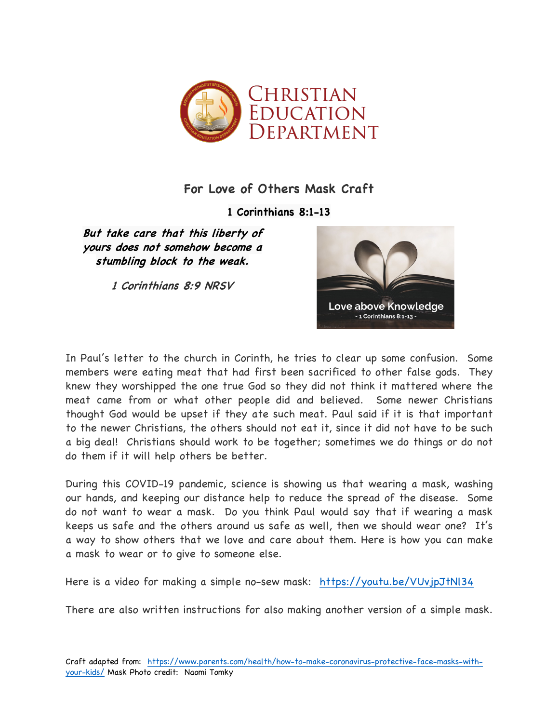

## **For Love of Others Mask Craft**

**1 Corinthians 8:1-13**

**But take care that this liberty of yours does not somehow become a stumbling block to the weak.**

**1 Corinthians 8:9 NRSV**



In Paul's letter to the church in Corinth, he tries to clear up some confusion. Some members were eating meat that had first been sacrificed to other false gods. They knew they worshipped the one true God so they did not think it mattered where the meat came from or what other people did and believed. Some newer Christians thought God would be upset if they ate such meat. Paul said if it is that important to the newer Christians, the others should not eat it, since it did not have to be such a big deal! Christians should work to be together; sometimes we do things or do not do them if it will help others be better.

During this COVID-19 pandemic, science is showing us that wearing a mask, washing our hands, and keeping our distance help to reduce the spread of the disease. Some do not want to wear a mask. Do you think Paul would say that if wearing a mask keeps us safe and the others around us safe as well, then we should wear one? It's a way to show others that we love and care about them. Here is how you can make a mask to wear or to give to someone else.

Here is a video for making a simple no-sew mask: https://youtu.be/VUvjpJtNl34

There are also written instructions for also making another version of a simple mask.